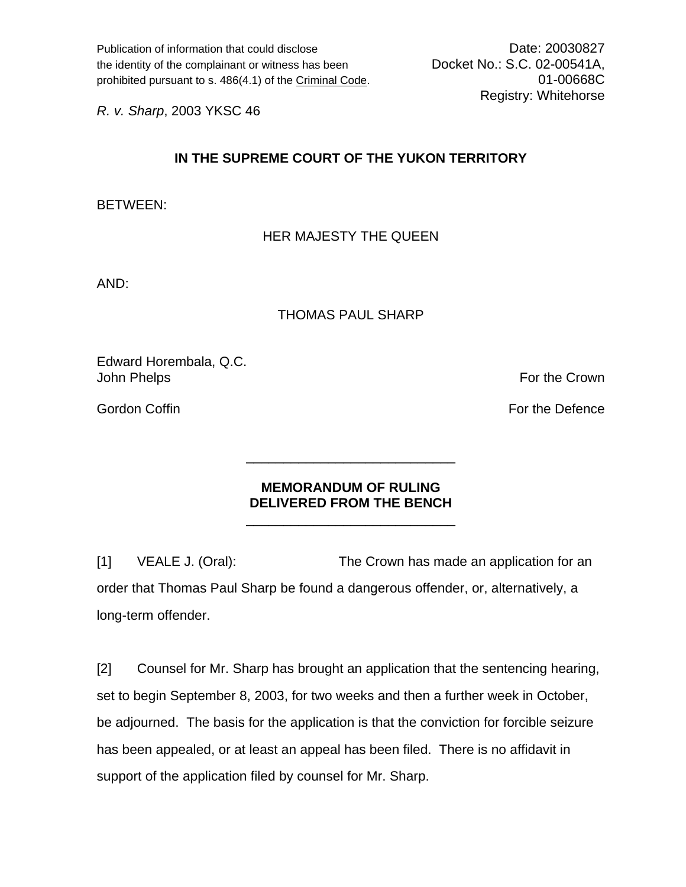Publication of information that could disclose Date: 20030827 the identity of the complainant or witness has been Docket No.: S.C. 02-00541A, prohibited pursuant to s. 486(4.1) of the Criminal Code. 01-00668C

Registry: Whitehorse

*R. v. Sharp*, 2003 YKSC 46

## **IN THE SUPREME COURT OF THE YUKON TERRITORY**

BETWEEN:

## HER MAJESTY THE QUEEN

AND:

## THOMAS PAUL SHARP

Edward Horembala, Q.C. John Phelps **For the Crown** 

Gordon Coffin For the Defence Corp. The Defence Corp. The Defence Corp. The Defence Corp. The Defence Corp. The Defence Corp. The Defence Corp. The Defence Corp. The Defence Corp. The Defence Corp. The Defence Corp. The De

## **MEMORANDUM OF RULING DELIVERED FROM THE BENCH**

 $\frac{1}{\sqrt{2\pi}}$  ,  $\frac{1}{\sqrt{2\pi}}$  ,  $\frac{1}{\sqrt{2\pi}}$  ,  $\frac{1}{\sqrt{2\pi}}$  ,  $\frac{1}{\sqrt{2\pi}}$  ,  $\frac{1}{\sqrt{2\pi}}$  ,  $\frac{1}{\sqrt{2\pi}}$  ,  $\frac{1}{\sqrt{2\pi}}$  ,  $\frac{1}{\sqrt{2\pi}}$  ,  $\frac{1}{\sqrt{2\pi}}$  ,  $\frac{1}{\sqrt{2\pi}}$  ,  $\frac{1}{\sqrt{2\pi}}$  ,  $\frac{1}{\sqrt{2\pi}}$  ,

 $\frac{1}{\sqrt{2\pi}}$  ,  $\frac{1}{\sqrt{2\pi}}$  ,  $\frac{1}{\sqrt{2\pi}}$  ,  $\frac{1}{\sqrt{2\pi}}$  ,  $\frac{1}{\sqrt{2\pi}}$  ,  $\frac{1}{\sqrt{2\pi}}$  ,  $\frac{1}{\sqrt{2\pi}}$  ,  $\frac{1}{\sqrt{2\pi}}$  ,  $\frac{1}{\sqrt{2\pi}}$  ,  $\frac{1}{\sqrt{2\pi}}$  ,  $\frac{1}{\sqrt{2\pi}}$  ,  $\frac{1}{\sqrt{2\pi}}$  ,  $\frac{1}{\sqrt{2\pi}}$  ,

[1] VEALE J. (Oral): The Crown has made an application for an order that Thomas Paul Sharp be found a dangerous offender, or, alternatively, a long-term offender.

[2] Counsel for Mr. Sharp has brought an application that the sentencing hearing, set to begin September 8, 2003, for two weeks and then a further week in October, be adjourned. The basis for the application is that the conviction for forcible seizure has been appealed, or at least an appeal has been filed. There is no affidavit in support of the application filed by counsel for Mr. Sharp.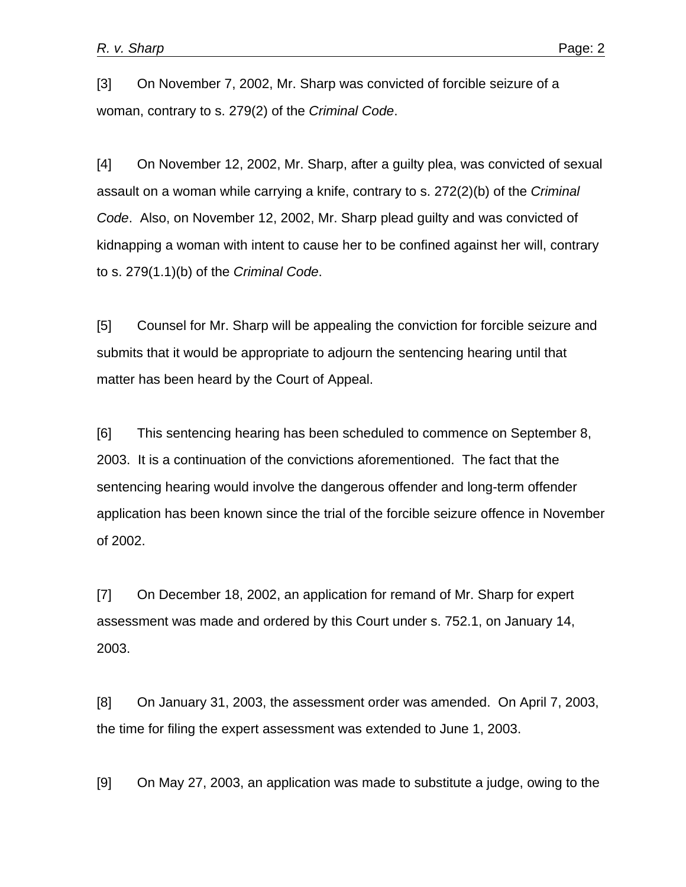[3] On November 7, 2002, Mr. Sharp was convicted of forcible seizure of a woman, contrary to s. 279(2) of the *Criminal Code*.

[4] On November 12, 2002, Mr. Sharp, after a guilty plea, was convicted of sexual assault on a woman while carrying a knife, contrary to s. 272(2)(b) of the *Criminal Code*. Also, on November 12, 2002, Mr. Sharp plead guilty and was convicted of kidnapping a woman with intent to cause her to be confined against her will, contrary to s. 279(1.1)(b) of the *Criminal Code*.

[5] Counsel for Mr. Sharp will be appealing the conviction for forcible seizure and submits that it would be appropriate to adjourn the sentencing hearing until that matter has been heard by the Court of Appeal.

[6] This sentencing hearing has been scheduled to commence on September 8, 2003. It is a continuation of the convictions aforementioned. The fact that the sentencing hearing would involve the dangerous offender and long-term offender application has been known since the trial of the forcible seizure offence in November of 2002.

[7] On December 18, 2002, an application for remand of Mr. Sharp for expert assessment was made and ordered by this Court under s. 752.1, on January 14, 2003.

[8] On January 31, 2003, the assessment order was amended. On April 7, 2003, the time for filing the expert assessment was extended to June 1, 2003.

[9] On May 27, 2003, an application was made to substitute a judge, owing to the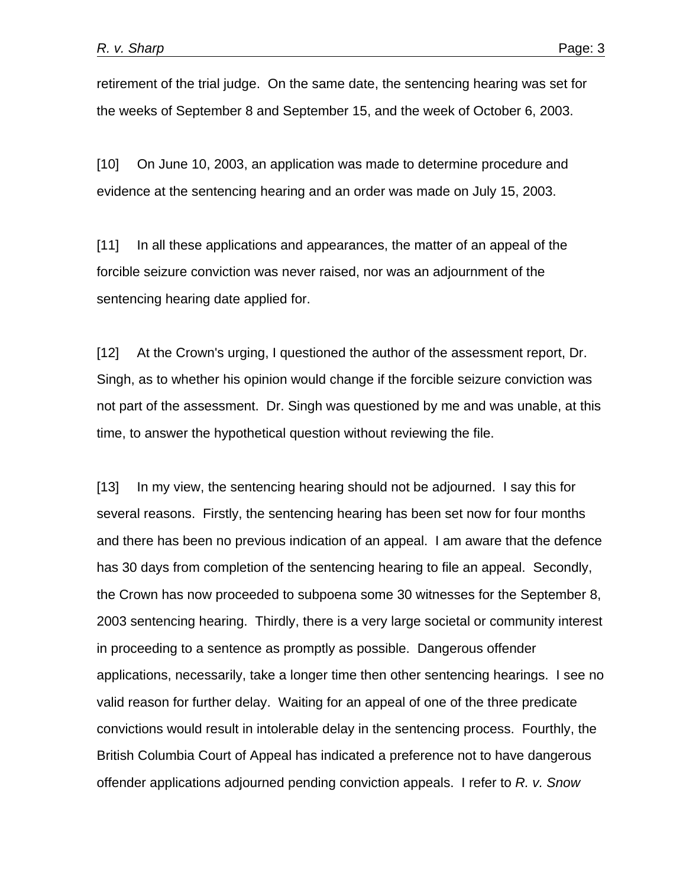retirement of the trial judge. On the same date, the sentencing hearing was set for the weeks of September 8 and September 15, and the week of October 6, 2003.

[10] On June 10, 2003, an application was made to determine procedure and evidence at the sentencing hearing and an order was made on July 15, 2003.

[11] In all these applications and appearances, the matter of an appeal of the forcible seizure conviction was never raised, nor was an adjournment of the sentencing hearing date applied for.

[12] At the Crown's urging, I questioned the author of the assessment report, Dr. Singh, as to whether his opinion would change if the forcible seizure conviction was not part of the assessment. Dr. Singh was questioned by me and was unable, at this time, to answer the hypothetical question without reviewing the file.

[13] In my view, the sentencing hearing should not be adjourned. I say this for several reasons. Firstly, the sentencing hearing has been set now for four months and there has been no previous indication of an appeal. I am aware that the defence has 30 days from completion of the sentencing hearing to file an appeal. Secondly, the Crown has now proceeded to subpoena some 30 witnesses for the September 8, 2003 sentencing hearing. Thirdly, there is a very large societal or community interest in proceeding to a sentence as promptly as possible. Dangerous offender applications, necessarily, take a longer time then other sentencing hearings. I see no valid reason for further delay. Waiting for an appeal of one of the three predicate convictions would result in intolerable delay in the sentencing process. Fourthly, the British Columbia Court of Appeal has indicated a preference not to have dangerous offender applications adjourned pending conviction appeals. I refer to *R. v. Snow*